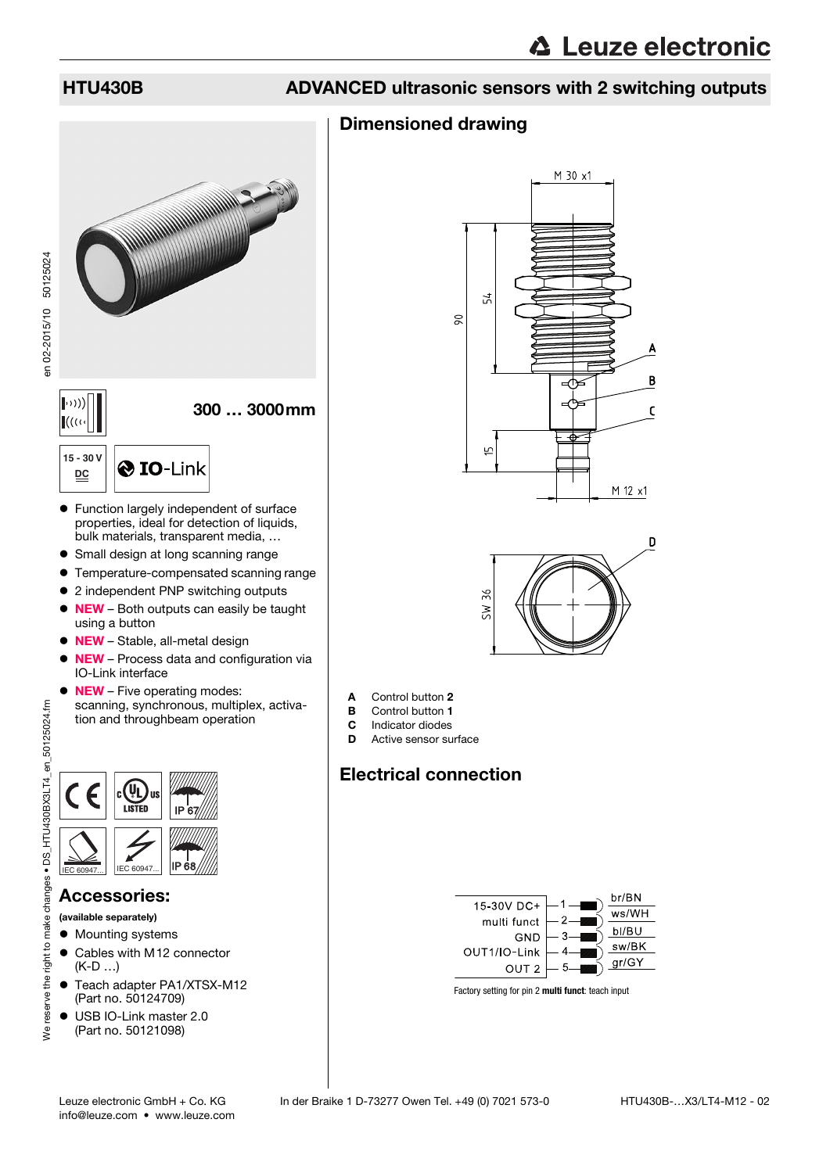en 02-2015/10 50125024

en 02-2015/10 50125024

## HTU430B ADVANCED ultrasonic sensors with 2 switching outputs

### Dimensioned drawing



- properties, ideal for detection of liquids, bulk materials, transparent media, …
- Small design at long scanning range
- Temperature-compensated scanning range
- 2 independent PNP switching outputs
- NEW Both outputs can easily be taught using a button
- NEW Stable, all-metal design
- NEW Process data and configuration via IO-Link interface
- NEW Five operating modes: scanning, synchronous, multiplex, activation and throughbeam operation



#### Accessories:

(available separately)

- $\bullet$  Mounting systems
- Cables with M12 connector (K-D …)
- Teach adapter PA1/XTSX-M12 (Part no. 50124709)
- USB IO-Link master 2.0 (Part no. 50121098)





- A Control button 2
- **B** Control button 1
- **C** Indicator diodes<br>**D** Active sensor su
- Active sensor surface

## Electrical connection



Factory setting for pin 2 **multi funct**: teach input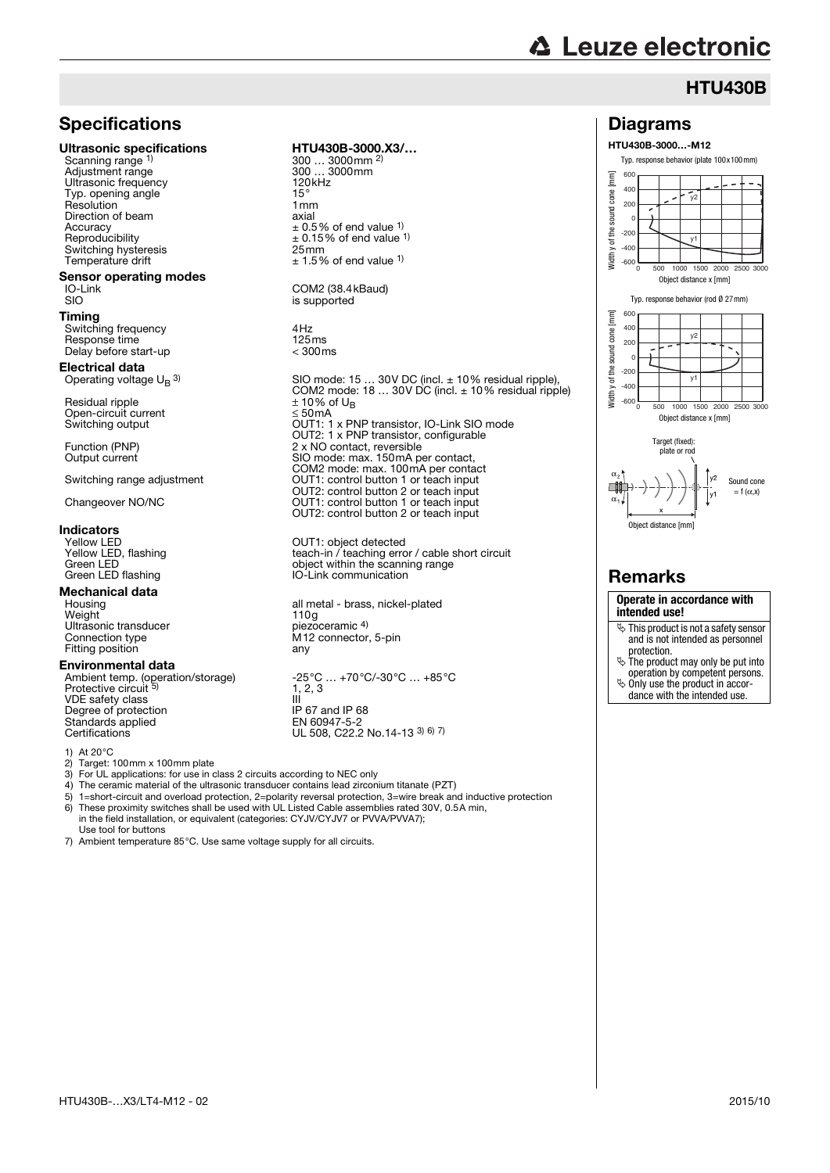# **△ Leuze electronic**

Diagrams HTU430B-3000…-M12

> -600  $-400$ -200

> 200  $40<sub>0</sub>$  $600$

Width y of the sound cone [mm]

Width y of the sound cone

### **HTU430B**

0 500 1000 1500 2000 2500 3000

 $\overline{\mathsf{v}}$ 

 $\tilde{\mathbf{v}}$ 

Typ. response behavior (plate 100x100mm)

#### **Specifications**

#### Ultrasonic specifications HTU430B-3000.X3/...

Scanning range 1) Adjustment range 300 … 3<br>
Ultrasonic frequency 300 mm Ultrasonic frequency 120<br>
Typ opening angle Typ. opening angle <sup>1</sup> the state of the 15°<br>Resolution 1 nm ry: commission is a contracted to the present of the precision of the precision of the precision of the precision of the precision of the precision of the precision of the precision of the precision of the precision of the Direction of beam<br>Accuracy Accuracy<br>Accuracy  $\pm 0.5\%$  of end value 1)<br>Reproducibility  $\pm 0.15\%$  of end value Switching hysteresis<br>Temperature drift

# **Sensor operating modes**<br>IO-Link<br>SIO

#### Timing

Switching frequency 4Hz<br>Response time 125ms Response time 125ms<br>Delay before start-up delay < 300ms Delay before start-up

#### Electrical data Operating voltage  $U_B$  3)

Residual ripple  $\pm 10\%$  of U<sub>B</sub> Open-circuit current<br>Switching output

**Indicators**<br>
Yellow LED<br>
Yellow LED, flashing

## **Mechanical data**<br>Housing

Weight 110g Ultrasonic transducer piezoceramic 4) Connection type M12 connector, 5-pin<br>Fitting position environmental and any Fitting position

#### Environmental data

Protective circuit VDE safety class<br>
Degree of protection<br>
Degree of protection<br>
IP 67 and IP 68 Degree of protection Standards applied<br>Certifications

- 1) At 20 °C<br>2) Target:
- 2) Target: 100mm x 100mm plate<br>3) For UL applications: for use in c 3) For UL applications: for use in class 2 circuits according to NEC only 4) The ceramic material of the ultrasonic transducer contains lead zircon
- 4) The ceramic material of the ultrasonic transducer contains lead zirconium titanate (PZT)<br>5) 1=short-circuit and overload protection. 2=polarity reversal protection. 3=wire break an
- 5) 1=short-circuit and overload protection, 2=polarity reversal protection, 3=wire break and inductive protection<br>6) These provimity switches shall be used with ULL isted Cable assemblies rated 30V, 0.5A min 6) These proximity switches shall be used with UL Listed Cable assemblies rated 30V, 0.5A min, in the field installation, or equivalent (categories: CYJV/CYJV7 or PVVA/PVVA7);
- Use tool for buttons
- 7) Ambient temperature 85°C. Use same voltage supply for all circuits.

300 ... 3000mm <sup>2)</sup><br>300 ... 3000mm  $\pm$  0.15% of end value <sup>1)</sup><br>25mm  $± 1.5%$  of end value <sup>1)</sup>

COM2 (38.4kBaud) is supported

SIO mode: 15 … 30V DC (incl. ± 10% residual ripple), COM2 mode: 18 … 30V DC (incl. ± 10% residual ripple) Switching output OUT1: 1 x PNP transistor, IO-Link SIO mode OUT2: 1 x PNP transistor, configurable Function (PNP) 2 x NO contact, reversible<br>Output current 300 mode: max. 150 mA p Entre contact, reference COM2 mode: max. 100mA per contact Switching range adjustment **OUT1:** control button 1 or teach input OUT2: control button 2 or teach input Changeover NO/NC OUT1: control button 1 or teach input OUT2: control button 2 or teach input

OUT1: object detected Yellow LED, flashing<br>
Yellow LED, flashing<br>
Green I FD<br>
Green I FD Green LED<br>Green LED flashing<br>Green LED flashing<br>Green LED flashing<br>Green LED flashing<br>Green LED flashing IO-Link communication

Housing all metal - brass, nickel-plated<br>
Weight 110g<br>
Ultrasonic transducer piezoceramic 4)

Ambient temp. (operation/storage) -25°C … +70°C/-30°C … +85°C  $1, 2, 3$ EN 60947-5-2<br>UL 508, C22.2 No.14-13 3) 6) 7)

Object distance x [mm] Typ. response behavior (rod Ø 27mm)  $[mm]$ Width y of the sound cone [mm] 600  $40($ sound cone y2 200  $\Omega$ Midth y of the  $-200$  $\overline{v}$  $400$ -600  $\frac{1}{1000}$  1500 Object distance x [mm] Target (fixed): plate or rod  $v<sub>2</sub>$ Sound cone  $\Box$  $= f(\alpha, x)$  $\alpha$ Object distance [mm] Remarks **Operate in accordance with**

**intended use!**

- $\ddot{\phi}$  This product is not a safety sensor and is not intended as personnel protection. The product may only be put into
- operation by competent persons.
- $\ddot{\phi}$  Only use the product in accor-
- dance with the intended use.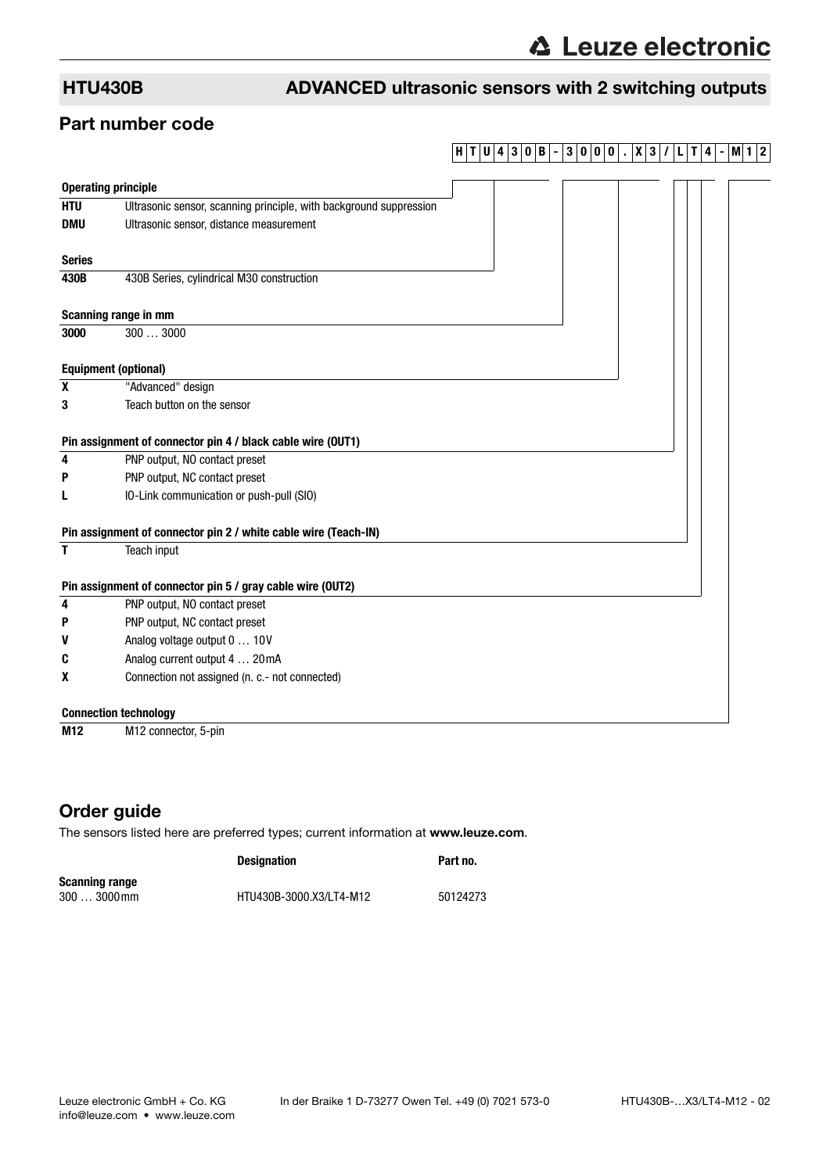## HTU430B ADVANCED ultrasonic sensors with 2 switching outputs

#### Part number code

## **H T U 4 3 0 B - 3 0 0 0 . X 3 / L T 4 - M1 2**

|                 | <b>Operating principle</b>                                         |
|-----------------|--------------------------------------------------------------------|
| <b>HTU</b>      | Ultrasonic sensor, scanning principle, with background suppression |
| <b>DMU</b>      | Ultrasonic sensor, distance measurement                            |
| <b>Series</b>   |                                                                    |
| 430B            | 430B Series, cylindrical M30 construction                          |
|                 | Scanning range in mm                                               |
| 3000            | 3003000                                                            |
|                 | <b>Equipment (optional)</b>                                        |
| X               | "Advanced" design                                                  |
| 3               | Teach button on the sensor                                         |
|                 | Pin assignment of connector pin 4 / black cable wire (OUT1)        |
| 4               | PNP output, NO contact preset                                      |
| P               | PNP output, NC contact preset                                      |
| L               | IO-Link communication or push-pull (SIO)                           |
|                 | Pin assignment of connector pin 2 / white cable wire (Teach-IN)    |
| T               | Teach input                                                        |
|                 | Pin assignment of connector pin 5 / gray cable wire (OUT2)         |
| 4               | PNP output, NO contact preset                                      |
| P               | PNP output, NC contact preset                                      |
| V               | Analog voltage output 0  10V                                       |
| C               | Analog current output 4  20mA                                      |
| X               | Connection not assigned (n. c.- not connected)                     |
|                 | <b>Connection technology</b>                                       |
| M <sub>12</sub> | M <sub>12</sub> connector, 5-pin                                   |

### Order guide

The sensors listed here are preferred types; current information at www.leuze.com.

|                       | <b>Designation</b>      | Part no. |
|-----------------------|-------------------------|----------|
| <b>Scanning range</b> |                         |          |
| $3003000$ mm          | HTU430B-3000.X3/LT4-M12 | 50124273 |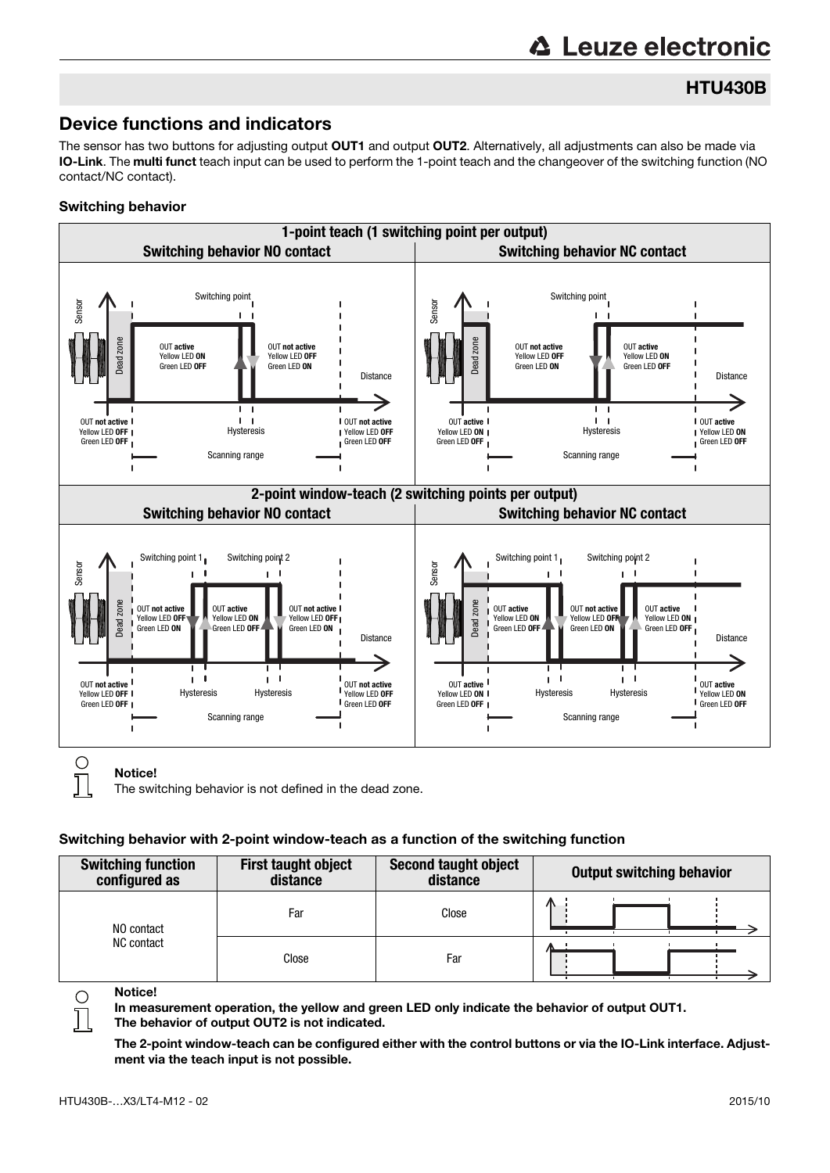# **∆ Leuze electronic**

## HTU430B

## Device functions and indicators

The sensor has two buttons for adjusting output OUT1 and output OUT2. Alternatively, all adjustments can also be made via IO-Link. The multi funct teach input can be used to perform the 1-point teach and the changeover of the switching function (NO contact/NC contact).

#### Switching behavior



The switching behavior is not defined in the dead zone.

#### Switching behavior with 2-point window-teach as a function of the switching function

| <b>Switching function</b><br>configured as | <b>First taught object</b><br>distance | <b>Second taught object</b><br>distance | Output switching behavior |
|--------------------------------------------|----------------------------------------|-----------------------------------------|---------------------------|
| NO contact                                 | Far                                    | Close                                   | Ж                         |
| NC contact                                 | Close                                  | Far                                     |                           |

Notice!

 $\bigcirc$ 

In measurement operation, the yellow and green LED only indicate the behavior of output OUT1. The behavior of output OUT2 is not indicated.

The 2-point window-teach can be configured either with the control buttons or via the IO-Link interface. Adjustment via the teach input is not possible.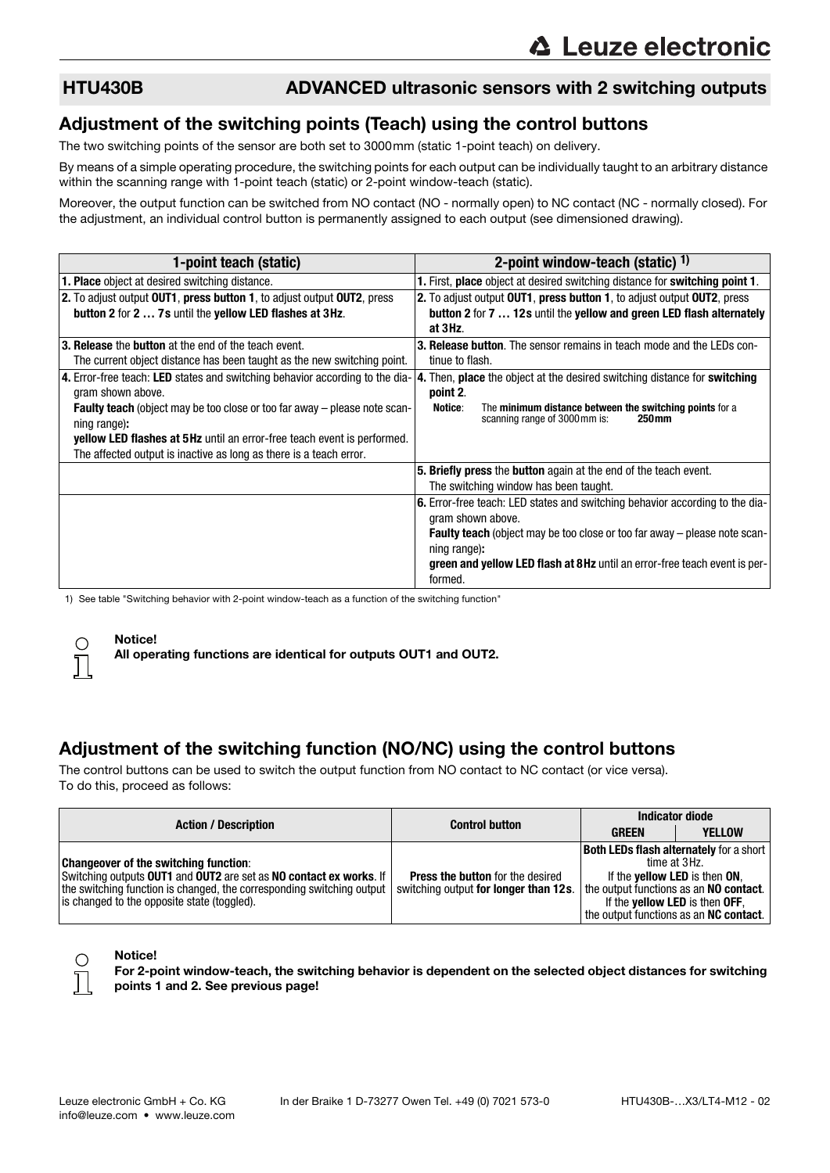#### HTU430B ADVANCED ultrasonic sensors with 2 switching outputs

#### Adjustment of the switching points (Teach) using the control buttons

The two switching points of the sensor are both set to 3000mm (static 1-point teach) on delivery.

By means of a simple operating procedure, the switching points for each output can be individually taught to an arbitrary distance within the scanning range with 1-point teach (static) or 2-point window-teach (static).

Moreover, the output function can be switched from NO contact (NO - normally open) to NC contact (NC - normally closed). For the adjustment, an individual control button is permanently assigned to each output (see dimensioned drawing).

| 1-point teach (static)                                                                           | 2-point window-teach (static) $1$ )                                                                                      |
|--------------------------------------------------------------------------------------------------|--------------------------------------------------------------------------------------------------------------------------|
| <b>1. Place</b> object at desired switching distance.                                            | 1. First, place object at desired switching distance for switching point 1.                                              |
| 2. To adjust output OUT1, press button 1, to adjust output OUT2, press                           | 2. To adjust output OUT1, press button 1, to adjust output OUT2, press                                                   |
| button 2 for 2  7s until the yellow LED flashes at 3Hz.                                          | button 2 for 7  12s until the yellow and green LED flash alternately                                                     |
|                                                                                                  | at 3Hz.                                                                                                                  |
| 3. Release the button at the end of the teach event.                                             | <b>3. Release button.</b> The sensor remains in teach mode and the LEDs con-                                             |
| The current object distance has been taught as the new switching point.                          | tinue to flash.                                                                                                          |
| 4. Error-free teach: LED states and switching behavior according to the dia-                     | 4. Then, place the object at the desired switching distance for switching                                                |
| gram shown above.                                                                                | point 2.                                                                                                                 |
| <b>Faulty teach</b> (object may be too close or too far away – please note scan-<br>ning range): | The minimum distance between the switching points for a<br>Notice:<br>scanning range of 3000 mm is:<br>250 <sub>mm</sub> |
| <b>yellow LED flashes at 5Hz</b> until an error-free teach event is performed.                   |                                                                                                                          |
| The affected output is inactive as long as there is a teach error.                               |                                                                                                                          |
|                                                                                                  | 5. Briefly press the button again at the end of the teach event.                                                         |
|                                                                                                  | The switching window has been taught.                                                                                    |
|                                                                                                  | 6. Error-free teach: LED states and switching behavior according to the dia-<br>gram shown above.                        |
|                                                                                                  | <b>Faulty teach</b> (object may be too close or too far away – please note scan-<br>ning range):                         |
|                                                                                                  | green and yellow LED flash at 8Hz until an error-free teach event is per-<br>formed.                                     |

1) See table "Switching behavior with 2-point window-teach as a function of the switching function"

#### **Notice!**

All operating functions are identical for outputs OUT1 and OUT2.

## Adjustment of the switching function (NO/NC) using the control buttons

The control buttons can be used to switch the output function from NO contact to NC contact (or vice versa). To do this, proceed as follows:

| <b>Action / Description</b>                                                                                                                                                                                                                | <b>Control button</b>                                                            | <b>Indicator diode</b>                                                                                                                                                                                                                      |               |
|--------------------------------------------------------------------------------------------------------------------------------------------------------------------------------------------------------------------------------------------|----------------------------------------------------------------------------------|---------------------------------------------------------------------------------------------------------------------------------------------------------------------------------------------------------------------------------------------|---------------|
|                                                                                                                                                                                                                                            |                                                                                  | <b>GREEN</b>                                                                                                                                                                                                                                | <b>YELLOW</b> |
| <b>Changeover of the switching function:</b><br>Switching outputs OUT1 and OUT2 are set as NO contact ex works. If<br>the switching function is changed, the corresponding switching output<br>is changed to the opposite state (toggled). | <b>Press the button</b> for the desired<br>switching output for longer than 12s. | <b>Both LEDs flash alternately for a short</b><br>time at 3Hz.<br>If the <b>yellow LED</b> is then ON,<br>the output functions as an NO contact.<br>If the <b>yellow LED</b> is then OFF,<br>the output functions as an <b>NC contact</b> . |               |



#### Notice!

For 2-point window-teach, the switching behavior is dependent on the selected object distances for switching points 1 and 2. See previous page!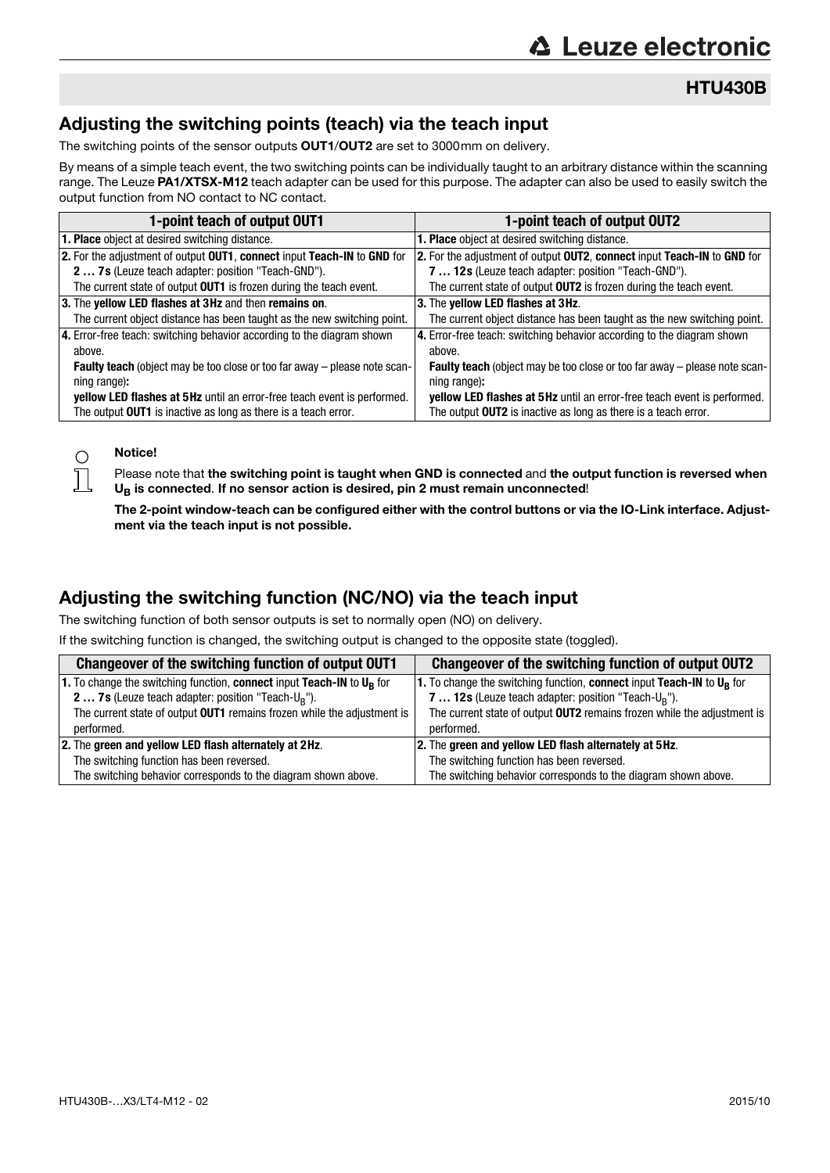HTU430B

## Adjusting the switching points (teach) via the teach input

The switching points of the sensor outputs **OUT1/OUT2** are set to 3000mm on delivery.

By means of a simple teach event, the two switching points can be individually taught to an arbitrary distance within the scanning range. The Leuze PA1/XTSX-M12 teach adapter can be used for this purpose. The adapter can also be used to easily switch the output function from NO contact to NC contact.

| 1-point teach of output OUT1                                                     | 1-point teach of output OUT2                                              |
|----------------------------------------------------------------------------------|---------------------------------------------------------------------------|
| <b>1. Place</b> object at desired switching distance.                            | <b>1. Place</b> object at desired switching distance.                     |
| 2. For the adjustment of output OUT1, connect input Teach-IN to GND for          | 2. For the adjustment of output OUT2, connect input Teach-IN to GND for   |
| 2  7s (Leuze teach adapter: position "Teach-GND").                               | 7  12s (Leuze teach adapter: position "Teach-GND").                       |
| The current state of output OUT1 is frozen during the teach event.               | The current state of output <b>OUT2</b> is frozen during the teach event. |
| 3. The yellow LED flashes at 3Hz and then remains on.                            | 3. The yellow LED flashes at 3Hz.                                         |
| The current object distance has been taught as the new switching point.          | The current object distance has been taught as the new switching point.   |
| 4. Error-free teach: switching behavior according to the diagram shown           | 4. Error-free teach: switching behavior according to the diagram shown    |
| above.                                                                           | above.                                                                    |
| <b>Faulty teach</b> (object may be too close or too far away - please note scan- | Faulty teach (object may be too close or too far away - please note scan- |
| ning range):                                                                     | ning range):                                                              |
| yellow LED flashes at 5Hz until an error-free teach event is performed.          | yellow LED flashes at 5Hz until an error-free teach event is performed.   |
| The output OUT1 is inactive as long as there is a teach error.                   | The output OUT2 is inactive as long as there is a teach error.            |

#### Notice!

 $\bigcirc$  $\overline{\Box}$ 

Please note that the switching point is taught when GND is connected and the output function is reversed when  $U_B$  is connected. If no sensor action is desired, pin 2 must remain unconnected!

The 2-point window-teach can be configured either with the control buttons or via the IO-Link interface. Adjustment via the teach input is not possible.

## Adjusting the switching function (NC/NO) via the teach input

The switching function of both sensor outputs is set to normally open (NO) on delivery.

If the switching function is changed, the switching output is changed to the opposite state (toggled).

| Changeover of the switching function of output OUT1                      | Changeover of the switching function of output OUT2                               |  |
|--------------------------------------------------------------------------|-----------------------------------------------------------------------------------|--|
| 1. To change the switching function, connect input Teach-IN to $U_R$ for | 1. To change the switching function, connect input Teach-IN to U <sub>R</sub> for |  |
| <b>2 7s</b> (Leuze teach adapter: position "Teach- $U_R$ ").             | 7  12s (Leuze teach adapter: position "Teach-U <sub>R</sub> ").                   |  |
| The current state of output OUT1 remains frozen while the adjustment is  | The current state of output <b>OUT2</b> remains frozen while the adjustment is    |  |
| performed.                                                               | performed.                                                                        |  |
| 2. The green and yellow LED flash alternately at 2Hz.                    | 2. The green and yellow LED flash alternately at 5Hz.                             |  |
| The switching function has been reversed.                                | The switching function has been reversed.                                         |  |
| The switching behavior corresponds to the diagram shown above.           | The switching behavior corresponds to the diagram shown above.                    |  |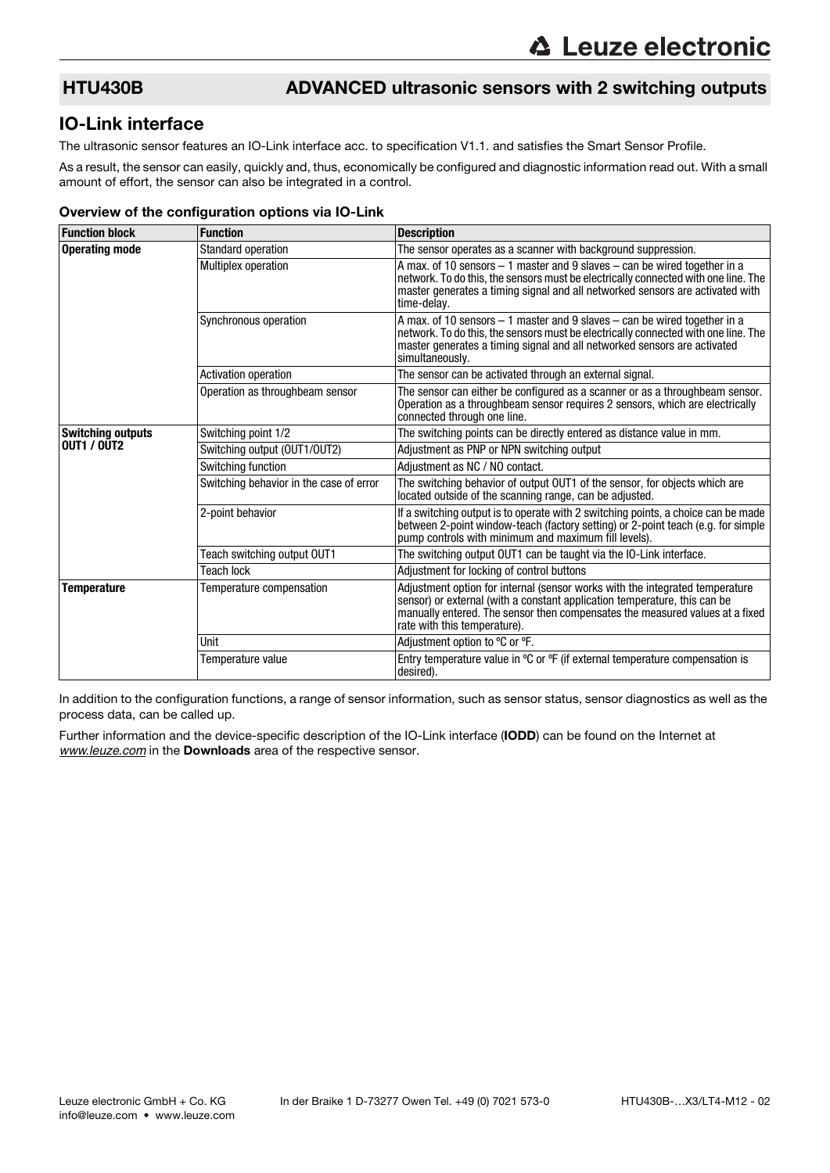### HTU430B ADVANCED ultrasonic sensors with 2 switching outputs

#### IO-Link interface

The ultrasonic sensor features an IO-Link interface acc. to specification V1.1. and satisfies the Smart Sensor Profile.

As a result, the sensor can easily, quickly and, thus, economically be configured and diagnostic information read out. With a small amount of effort, the sensor can also be integrated in a control.

#### Overview of the configuration options via IO-Link

| <b>Function block</b>    | <b>Function</b>                         | <b>Description</b>                                                                                                                                                                                                                                                        |
|--------------------------|-----------------------------------------|---------------------------------------------------------------------------------------------------------------------------------------------------------------------------------------------------------------------------------------------------------------------------|
| <b>Operating mode</b>    | <b>Standard operation</b>               | The sensor operates as a scanner with background suppression.                                                                                                                                                                                                             |
|                          | <b>Multiplex operation</b>              | A max. of 10 sensors $-1$ master and 9 slaves $-$ can be wired together in a<br>network. To do this, the sensors must be electrically connected with one line. The<br>master generates a timing signal and all networked sensors are activated with<br>time-delay.        |
|                          | Synchronous operation                   | A max. of 10 sensors - 1 master and 9 slaves - can be wired together in a<br>network. To do this, the sensors must be electrically connected with one line. The<br>master generates a timing signal and all networked sensors are activated<br>simultaneously.            |
|                          | Activation operation                    | The sensor can be activated through an external signal.                                                                                                                                                                                                                   |
|                          | Operation as throughbeam sensor         | The sensor can either be configured as a scanner or as a throughbeam sensor.<br>Operation as a throughbeam sensor requires 2 sensors, which are electrically<br>connected through one line.                                                                               |
| <b>Switching outputs</b> | Switching point 1/2                     | The switching points can be directly entered as distance value in mm.                                                                                                                                                                                                     |
| <b>OUT1 / OUT2</b>       | Switching output (OUT1/OUT2)            | Adjustment as PNP or NPN switching output                                                                                                                                                                                                                                 |
|                          | Switching function                      | Adjustment as NC / NO contact.                                                                                                                                                                                                                                            |
|                          | Switching behavior in the case of error | The switching behavior of output OUT1 of the sensor, for objects which are<br>located outside of the scanning range, can be adjusted.                                                                                                                                     |
|                          | 2-point behavior                        | If a switching output is to operate with 2 switching points, a choice can be made<br>between 2-point window-teach (factory setting) or 2-point teach (e.g. for simple<br>pump controls with minimum and maximum fill levels).                                             |
|                          | Teach switching output OUT1             | The switching output OUT1 can be taught via the IO-Link interface.                                                                                                                                                                                                        |
|                          | <b>Teach lock</b>                       | Adjustment for locking of control buttons                                                                                                                                                                                                                                 |
| <b>Temperature</b>       | Temperature compensation                | Adjustment option for internal (sensor works with the integrated temperature<br>sensor) or external (with a constant application temperature, this can be<br>manually entered. The sensor then compensates the measured values at a fixed<br>rate with this temperature). |
|                          | Unit                                    | Adjustment option to °C or °F.                                                                                                                                                                                                                                            |
|                          | Temperature value                       | Entry temperature value in $\degree$ C or $\degree$ F (if external temperature compensation is<br>desired).                                                                                                                                                               |

In addition to the configuration functions, a range of sensor information, such as sensor status, sensor diagnostics as well as the process data, can be called up.

Further information and the device-specific description of the IO-Link interface (IODD) can be found on the Internet at *[www.leuze.com](http://www.leuze.com)* in the Downloads area of the respective sensor.